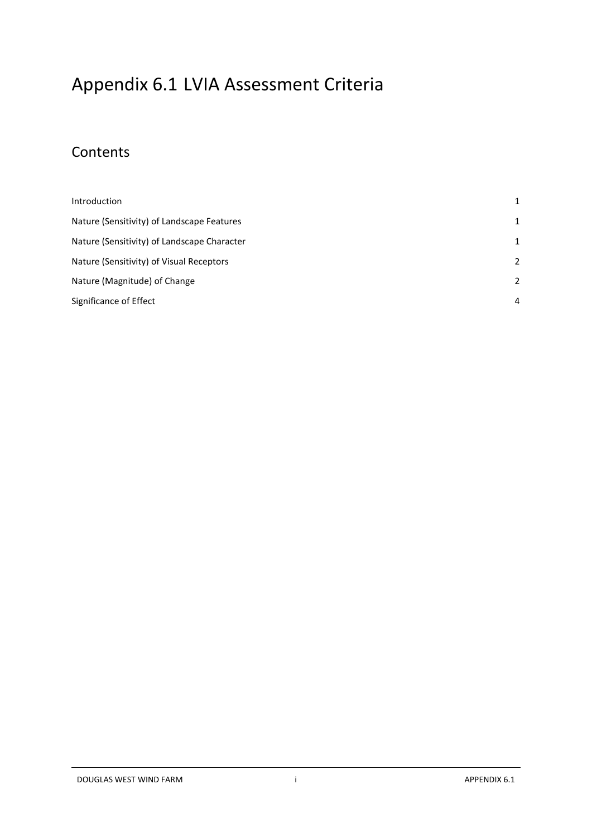# Appendix 6.1 LVIA Assessment Criteria

## **Contents**

| Introduction                                | 1                       |
|---------------------------------------------|-------------------------|
| Nature (Sensitivity) of Landscape Features  | 1                       |
| Nature (Sensitivity) of Landscape Character | 1                       |
| Nature (Sensitivity) of Visual Receptors    | $\overline{\mathbf{c}}$ |
| Nature (Magnitude) of Change                | $\overline{2}$          |
| Significance of Effect                      | 4                       |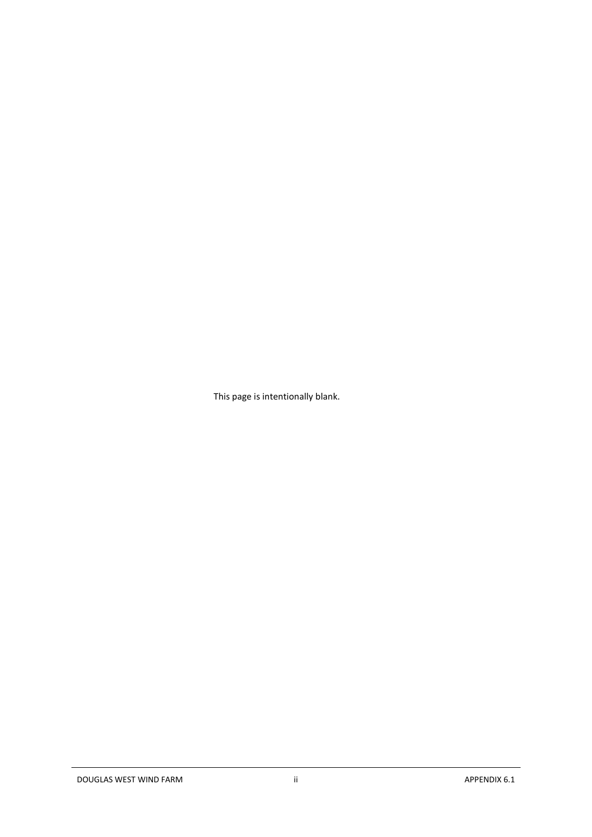This page is intentionally blank.

DOUGLAS WEST WIND FARM **ii** ii appendix 6.1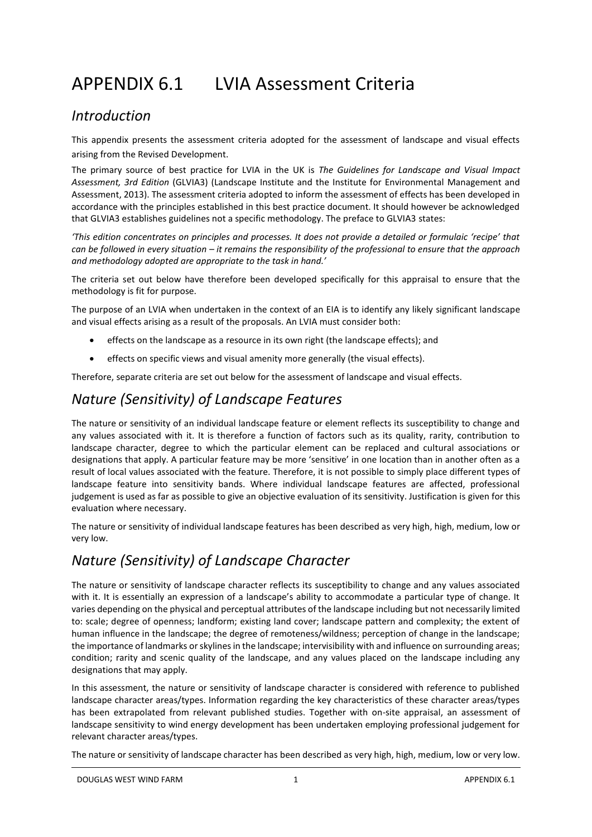# APPENDIX 6.1 LVIA Assessment Criteria

### <span id="page-2-0"></span>*Introduction*

This appendix presents the assessment criteria adopted for the assessment of landscape and visual effects arising from the Revised Development.

The primary source of best practice for LVIA in the UK is *The Guidelines for Landscape and Visual Impact Assessment, 3rd Edition* (GLVIA3) (Landscape Institute and the Institute for Environmental Management and Assessment, 2013). The assessment criteria adopted to inform the assessment of effects has been developed in accordance with the principles established in this best practice document. It should however be acknowledged that GLVIA3 establishes guidelines not a specific methodology. The preface to GLVIA3 states:

*'This edition concentrates on principles and processes. It does not provide a detailed or formulaic 'recipe' that can be followed in every situation – it remains the responsibility of the professional to ensure that the approach and methodology adopted are appropriate to the task in hand.'*

The criteria set out below have therefore been developed specifically for this appraisal to ensure that the methodology is fit for purpose.

The purpose of an LVIA when undertaken in the context of an EIA is to identify any likely significant landscape and visual effects arising as a result of the proposals. An LVIA must consider both:

- effects on the landscape as a resource in its own right (the landscape effects); and
- effects on specific views and visual amenity more generally (the visual effects).

Therefore, separate criteria are set out below for the assessment of landscape and visual effects.

### <span id="page-2-1"></span>*Nature (Sensitivity) of Landscape Features*

The nature or sensitivity of an individual landscape feature or element reflects its susceptibility to change and any values associated with it. It is therefore a function of factors such as its quality, rarity, contribution to landscape character, degree to which the particular element can be replaced and cultural associations or designations that apply. A particular feature may be more 'sensitive' in one location than in another often as a result of local values associated with the feature. Therefore, it is not possible to simply place different types of landscape feature into sensitivity bands. Where individual landscape features are affected, professional judgement is used as far as possible to give an objective evaluation of its sensitivity. Justification is given for this evaluation where necessary.

The nature or sensitivity of individual landscape features has been described as very high, high, medium, low or very low.

### <span id="page-2-2"></span>*Nature (Sensitivity) of Landscape Character*

The nature or sensitivity of landscape character reflects its susceptibility to change and any values associated with it. It is essentially an expression of a landscape's ability to accommodate a particular type of change. It varies depending on the physical and perceptual attributes of the landscape including but not necessarily limited to: scale; degree of openness; landform; existing land cover; landscape pattern and complexity; the extent of human influence in the landscape; the degree of remoteness/wildness; perception of change in the landscape; the importance of landmarks or skylines in the landscape; intervisibility with and influence on surrounding areas; condition; rarity and scenic quality of the landscape, and any values placed on the landscape including any designations that may apply.

In this assessment, the nature or sensitivity of landscape character is considered with reference to published landscape character areas/types. Information regarding the key characteristics of these character areas/types has been extrapolated from relevant published studies. Together with on-site appraisal, an assessment of landscape sensitivity to wind energy development has been undertaken employing professional judgement for relevant character areas/types.

The nature or sensitivity of landscape character has been described as very high, high, medium, low or very low.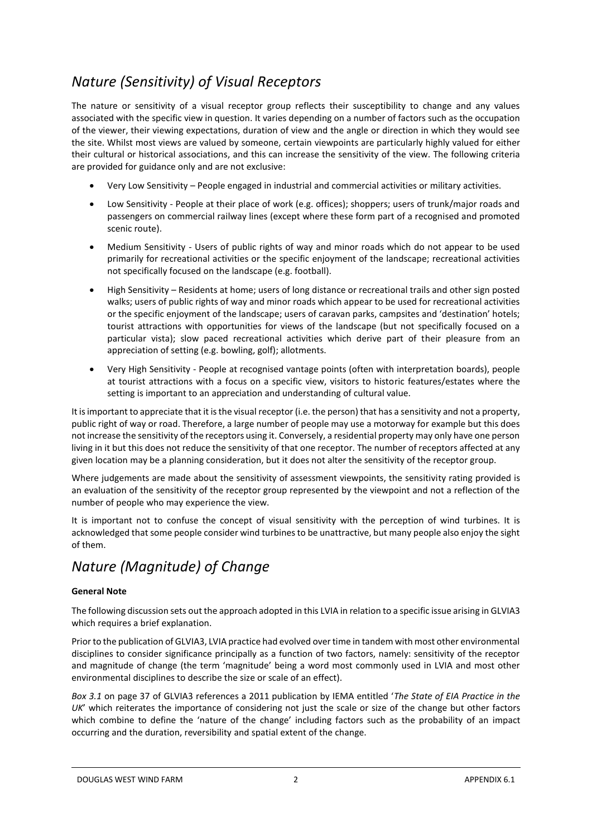## <span id="page-3-0"></span>*Nature (Sensitivity) of Visual Receptors*

The nature or sensitivity of a visual receptor group reflects their susceptibility to change and any values associated with the specific view in question. It varies depending on a number of factors such as the occupation of the viewer, their viewing expectations, duration of view and the angle or direction in which they would see the site. Whilst most views are valued by someone, certain viewpoints are particularly highly valued for either their cultural or historical associations, and this can increase the sensitivity of the view. The following criteria are provided for guidance only and are not exclusive:

- Very Low Sensitivity People engaged in industrial and commercial activities or military activities.
- Low Sensitivity People at their place of work (e.g. offices); shoppers; users of trunk/major roads and passengers on commercial railway lines (except where these form part of a recognised and promoted scenic route).
- Medium Sensitivity Users of public rights of way and minor roads which do not appear to be used primarily for recreational activities or the specific enjoyment of the landscape; recreational activities not specifically focused on the landscape (e.g. football).
- High Sensitivity Residents at home; users of long distance or recreational trails and other sign posted walks; users of public rights of way and minor roads which appear to be used for recreational activities or the specific enjoyment of the landscape; users of caravan parks, campsites and 'destination' hotels; tourist attractions with opportunities for views of the landscape (but not specifically focused on a particular vista); slow paced recreational activities which derive part of their pleasure from an appreciation of setting (e.g. bowling, golf); allotments.
- Very High Sensitivity People at recognised vantage points (often with interpretation boards), people at tourist attractions with a focus on a specific view, visitors to historic features/estates where the setting is important to an appreciation and understanding of cultural value.

It is important to appreciate that it is the visual receptor (i.e. the person) that has a sensitivity and not a property, public right of way or road. Therefore, a large number of people may use a motorway for example but this does not increase the sensitivity of the receptors using it. Conversely, a residential property may only have one person living in it but this does not reduce the sensitivity of that one receptor. The number of receptors affected at any given location may be a planning consideration, but it does not alter the sensitivity of the receptor group.

Where judgements are made about the sensitivity of assessment viewpoints, the sensitivity rating provided is an evaluation of the sensitivity of the receptor group represented by the viewpoint and not a reflection of the number of people who may experience the view.

It is important not to confuse the concept of visual sensitivity with the perception of wind turbines. It is acknowledged that some people consider wind turbines to be unattractive, but many people also enjoy the sight of them.

### <span id="page-3-1"></span>*Nature (Magnitude) of Change*

### **General Note**

The following discussion sets out the approach adopted in this LVIA in relation to a specific issue arising in GLVIA3 which requires a brief explanation.

Prior to the publication of GLVIA3, LVIA practice had evolved over time in tandem with most other environmental disciplines to consider significance principally as a function of two factors, namely: sensitivity of the receptor and magnitude of change (the term 'magnitude' being a word most commonly used in LVIA and most other environmental disciplines to describe the size or scale of an effect).

*Box 3.1* on page 37 of GLVIA3 references a 2011 publication by IEMA entitled '*The State of EIA Practice in the UK*' which reiterates the importance of considering not just the scale or size of the change but other factors which combine to define the 'nature of the change' including factors such as the probability of an impact occurring and the duration, reversibility and spatial extent of the change.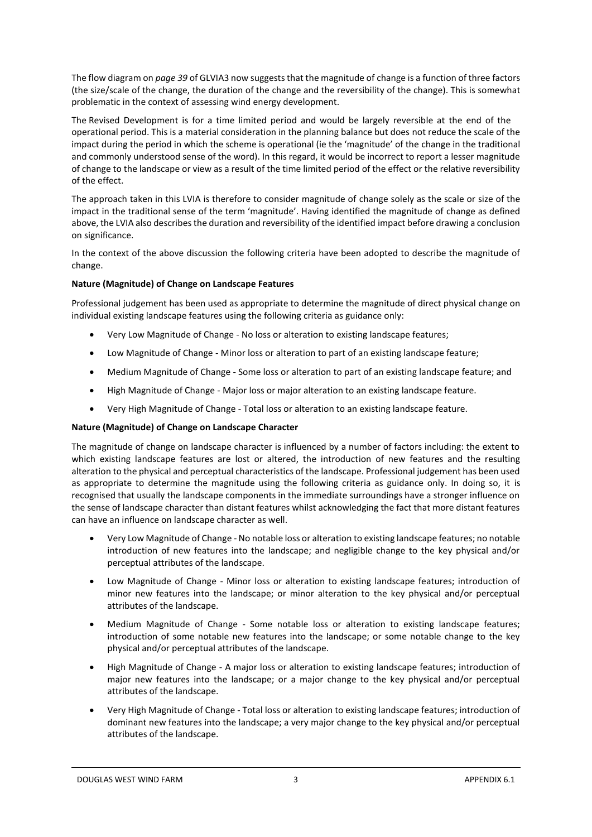The flow diagram on *page 39* of GLVIA3 now suggests that the magnitude of change is a function of three factors (the size/scale of the change, the duration of the change and the reversibility of the change). This is somewhat problematic in the context of assessing wind energy development.

The Revised Development is for a time limited period and would be largely reversible at the end of the operational period. This is a material consideration in the planning balance but does not reduce the scale of the impact during the period in which the scheme is operational (ie the 'magnitude' of the change in the traditional and commonly understood sense of the word). In this regard, it would be incorrect to report a lesser magnitude of change to the landscape or view as a result of the time limited period of the effect or the relative reversibility of the effect.

The approach taken in this LVIA is therefore to consider magnitude of change solely as the scale or size of the impact in the traditional sense of the term 'magnitude'. Having identified the magnitude of change as defined above, the LVIA also describes the duration and reversibility of the identified impact before drawing a conclusion on significance.

In the context of the above discussion the following criteria have been adopted to describe the magnitude of change.

### **Nature (Magnitude) of Change on Landscape Features**

Professional judgement has been used as appropriate to determine the magnitude of direct physical change on individual existing landscape features using the following criteria as guidance only:

- Very Low Magnitude of Change No loss or alteration to existing landscape features;
- Low Magnitude of Change Minor loss or alteration to part of an existing landscape feature;
- Medium Magnitude of Change Some loss or alteration to part of an existing landscape feature; and
- High Magnitude of Change Major loss or major alteration to an existing landscape feature.
- Very High Magnitude of Change Total loss or alteration to an existing landscape feature.

### **Nature (Magnitude) of Change on Landscape Character**

The magnitude of change on landscape character is influenced by a number of factors including: the extent to which existing landscape features are lost or altered, the introduction of new features and the resulting alteration to the physical and perceptual characteristics of the landscape. Professional judgement has been used as appropriate to determine the magnitude using the following criteria as guidance only. In doing so, it is recognised that usually the landscape components in the immediate surroundings have a stronger influence on the sense of landscape character than distant features whilst acknowledging the fact that more distant features can have an influence on landscape character as well.

- Very Low Magnitude of Change No notable loss or alteration to existing landscape features; no notable introduction of new features into the landscape; and negligible change to the key physical and/or perceptual attributes of the landscape.
- Low Magnitude of Change Minor loss or alteration to existing landscape features; introduction of minor new features into the landscape; or minor alteration to the key physical and/or perceptual attributes of the landscape.
- Medium Magnitude of Change Some notable loss or alteration to existing landscape features; introduction of some notable new features into the landscape; or some notable change to the key physical and/or perceptual attributes of the landscape.
- High Magnitude of Change A major loss or alteration to existing landscape features; introduction of major new features into the landscape; or a major change to the key physical and/or perceptual attributes of the landscape.
- Very High Magnitude of Change Total loss or alteration to existing landscape features; introduction of dominant new features into the landscape; a very major change to the key physical and/or perceptual attributes of the landscape.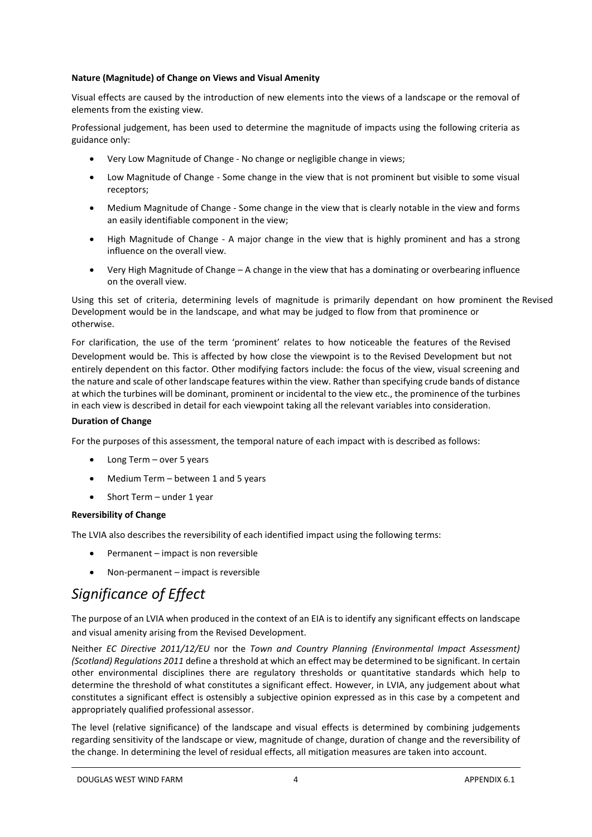### **Nature (Magnitude) of Change on Views and Visual Amenity**

Visual effects are caused by the introduction of new elements into the views of a landscape or the removal of elements from the existing view.

Professional judgement, has been used to determine the magnitude of impacts using the following criteria as guidance only:

- Very Low Magnitude of Change No change or negligible change in views;
- Low Magnitude of Change Some change in the view that is not prominent but visible to some visual receptors;
- Medium Magnitude of Change Some change in the view that is clearly notable in the view and forms an easily identifiable component in the view;
- High Magnitude of Change A major change in the view that is highly prominent and has a strong influence on the overall view.
- Very High Magnitude of Change A change in the view that has a dominating or overbearing influence on the overall view.

Using this set of criteria, determining levels of magnitude is primarily dependant on how prominent the Revised Development would be in the landscape, and what may be judged to flow from that prominence or otherwise.

For clarification, the use of the term 'prominent' relates to how noticeable the features of the Revised Development would be. This is affected by how close the viewpoint is to the Revised Development but not entirely dependent on this factor. Other modifying factors include: the focus of the view, visual screening and the nature and scale of other landscape features within the view. Rather than specifying crude bands of distance at which the turbines will be dominant, prominent or incidental to the view etc., the prominence of the turbines in each view is described in detail for each viewpoint taking all the relevant variables into consideration.

#### **Duration of Change**

For the purposes of this assessment, the temporal nature of each impact with is described as follows:

- Long Term over 5 years
- Medium Term between 1 and 5 years
- Short Term under 1 year

#### **Reversibility of Change**

The LVIA also describes the reversibility of each identified impact using the following terms:

- Permanent impact is non reversible
- Non-permanent impact is reversible

### <span id="page-5-0"></span>*Significance of Effect*

The purpose of an LVIA when produced in the context of an EIA is to identify any significant effects on landscape and visual amenity arising from the Revised Development.

Neither *EC Directive 2011/12/EU* nor the *Town and Country Planning (Environmental Impact Assessment) (Scotland) Regulations 2011* define a threshold at which an effect may be determined to be significant. In certain other environmental disciplines there are regulatory thresholds or quantitative standards which help to determine the threshold of what constitutes a significant effect. However, in LVIA, any judgement about what constitutes a significant effect is ostensibly a subjective opinion expressed as in this case by a competent and appropriately qualified professional assessor.

The level (relative significance) of the landscape and visual effects is determined by combining judgements regarding sensitivity of the landscape or view, magnitude of change, duration of change and the reversibility of the change. In determining the level of residual effects, all mitigation measures are taken into account.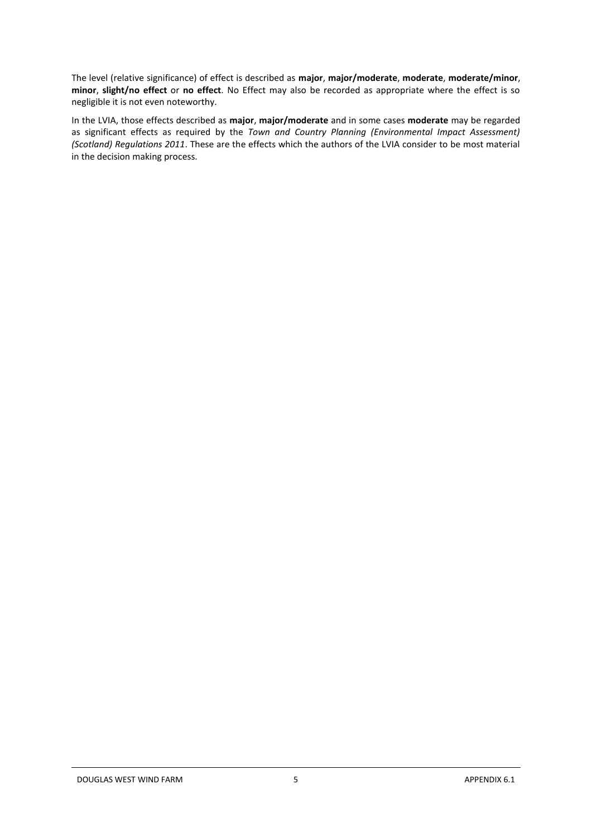The level (relative significance) of effect is described as **major**, **major/moderate**, **moderate**, **moderate/minor**, **minor**, **slight/no effect** or **no effect**. No Effect may also be recorded as appropriate where the effect is so negligible it is not even noteworthy.

In the LVIA, those effects described as **major**, **major/moderate** and in some cases **moderate** may be regarded as significant effects as required by the *Town and Country Planning (Environmental Impact Assessment) (Scotland) Regulations 2011*. These are the effects which the authors of the LVIA consider to be most material in the decision making process.